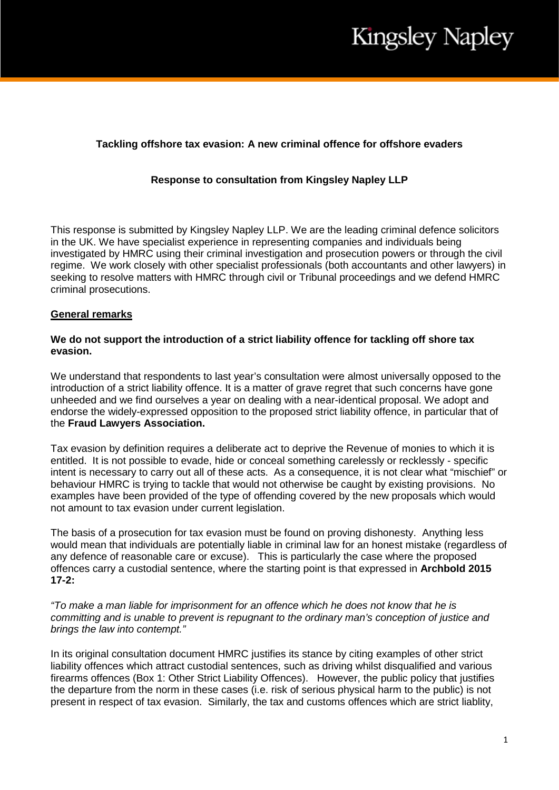## **Tackling offshore tax evasion: A new criminal offence for offshore evaders**

## **Response to consultation from Kingsley Napley LLP**

This response is submitted by Kingsley Napley LLP. We are the leading criminal defence solicitors in the UK. We have specialist experience in representing companies and individuals being investigated by HMRC using their criminal investigation and prosecution powers or through the civil regime. We work closely with other specialist professionals (both accountants and other lawyers) in seeking to resolve matters with HMRC through civil or Tribunal proceedings and we defend HMRC criminal prosecutions.

### **General remarks**

### **We do not support the introduction of a strict liability offence for tackling off shore tax evasion.**

We understand that respondents to last year's consultation were almost universally opposed to the introduction of a strict liability offence. It is a matter of grave regret that such concerns have gone unheeded and we find ourselves a year on dealing with a near-identical proposal. We adopt and endorse the widely-expressed opposition to the proposed strict liability offence, in particular that of the **Fraud Lawyers Association.**

Tax evasion by definition requires a deliberate act to deprive the Revenue of monies to which it is entitled. It is not possible to evade, hide or conceal something carelessly or recklessly - specific intent is necessary to carry out all of these acts. As a consequence, it is not clear what "mischief" or behaviour HMRC is trying to tackle that would not otherwise be caught by existing provisions. No examples have been provided of the type of offending covered by the new proposals which would not amount to tax evasion under current legislation.

The basis of a prosecution for tax evasion must be found on proving dishonesty. Anything less would mean that individuals are potentially liable in criminal law for an honest mistake (regardless of any defence of reasonable care or excuse). This is particularly the case where the proposed offences carry a custodial sentence, where the starting point is that expressed in **Archbold 2015 17-2:**

*"To make a man liable for imprisonment for an offence which he does not know that he is committing and is unable to prevent is repugnant to the ordinary man's conception of justice and brings the law into contempt."*

In its original consultation document HMRC justifies its stance by citing examples of other strict liability offences which attract custodial sentences, such as driving whilst disqualified and various firearms offences (Box 1: Other Strict Liability Offences). However, the public policy that justifies the departure from the norm in these cases (i.e. risk of serious physical harm to the public) is not present in respect of tax evasion. Similarly, the tax and customs offences which are strict liablity,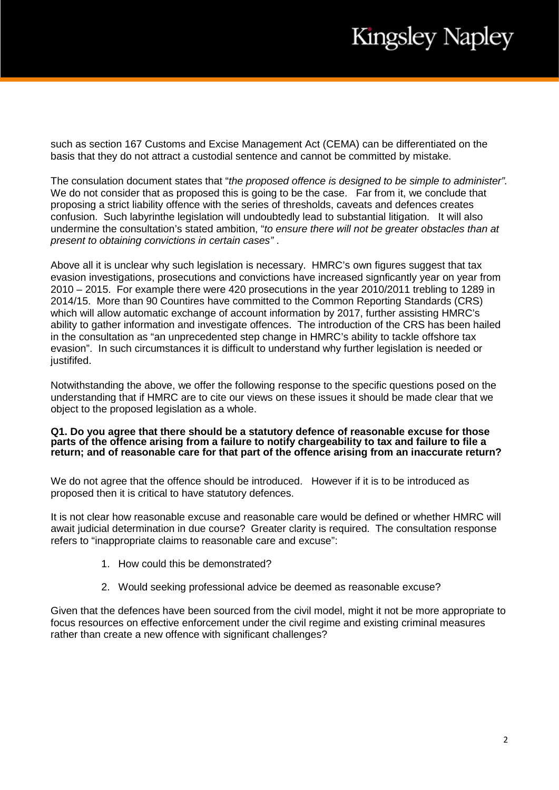such as section 167 Customs and Excise Management Act (CEMA) can be differentiated on the basis that they do not attract a custodial sentence and cannot be committed by mistake.

The consulation document states that "*the proposed offence is designed to be simple to administer".* We do not consider that as proposed this is going to be the case. Far from it, we conclude that proposing a strict liability offence with the series of thresholds, caveats and defences creates confusion. Such labyrinthe legislation will undoubtedly lead to substantial litigation. It will also undermine the consultation's stated ambition, "*to ensure there will not be greater obstacles than at present to obtaining convictions in certain cases"* .

Above all it is unclear why such legislation is necessary. HMRC's own figures suggest that tax evasion investigations, prosecutions and convictions have increased signficantly year on year from 2010 – 2015. For example there were 420 prosecutions in the year 2010/2011 trebling to 1289 in 2014/15. More than 90 Countires have committed to the Common Reporting Standards (CRS) which will allow automatic exchange of account information by 2017, further assisting HMRC's ability to gather information and investigate offences. The introduction of the CRS has been hailed in the consultation as "an unprecedented step change in HMRC's ability to tackle offshore tax evasion". In such circumstances it is difficult to understand why further legislation is needed or justififed.

Notwithstanding the above, we offer the following response to the specific questions posed on the understanding that if HMRC are to cite our views on these issues it should be made clear that we object to the proposed legislation as a whole.

#### **Q1. Do you agree that there should be a statutory defence of reasonable excuse for those parts of the offence arising from a failure to notify chargeability to tax and failure to file a return; and of reasonable care for that part of the offence arising from an inaccurate return?**

We do not agree that the offence should be introduced. However if it is to be introduced as proposed then it is critical to have statutory defences.

It is not clear how reasonable excuse and reasonable care would be defined or whether HMRC will await judicial determination in due course? Greater clarity is required. The consultation response refers to "inappropriate claims to reasonable care and excuse":

- 1. How could this be demonstrated?
- 2. Would seeking professional advice be deemed as reasonable excuse?

Given that the defences have been sourced from the civil model, might it not be more appropriate to focus resources on effective enforcement under the civil regime and existing criminal measures rather than create a new offence with significant challenges?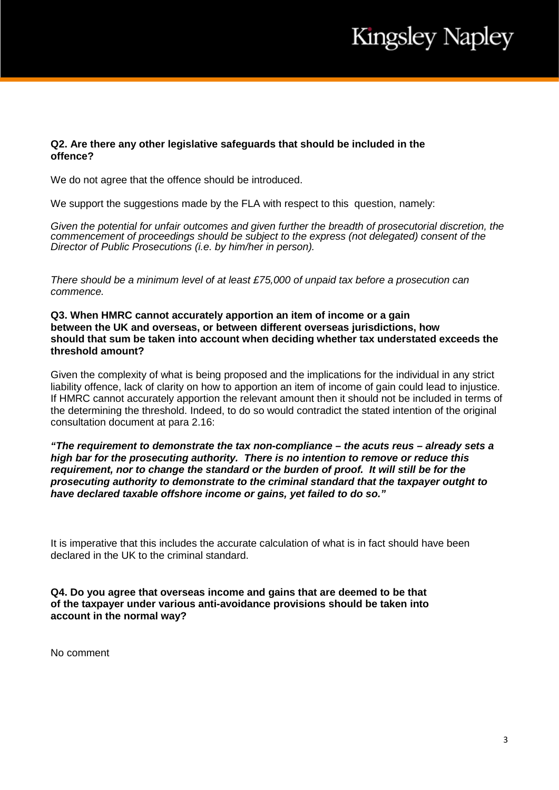## **Q2. Are there any other legislative safeguards that should be included in the offence?**

We do not agree that the offence should be introduced.

We support the suggestions made by the FLA with respect to this question, namely:

*Given the potential for unfair outcomes and given further the breadth of prosecutorial discretion, the commencement of proceedings should be subject to the express (not delegated) consent of the Director of Public Prosecutions (i.e. by him/her in person).*

*There should be a minimum level of at least £75,000 of unpaid tax before a prosecution can commence.*

### **Q3. When HMRC cannot accurately apportion an item of income or a gain between the UK and overseas, or between different overseas jurisdictions, how should that sum be taken into account when deciding whether tax understated exceeds the threshold amount?**

Given the complexity of what is being proposed and the implications for the individual in any strict liability offence, lack of clarity on how to apportion an item of income of gain could lead to injustice. If HMRC cannot accurately apportion the relevant amount then it should not be included in terms of the determining the threshold. Indeed, to do so would contradict the stated intention of the original consultation document at para 2.16:

*"The requirement to demonstrate the tax non-compliance – the acuts reus – already sets a high bar for the prosecuting authority. There is no intention to remove or reduce this requirement, nor to change the standard or the burden of proof. It will still be for the prosecuting authority to demonstrate to the criminal standard that the taxpayer outght to have declared taxable offshore income or gains, yet failed to do so."*

It is imperative that this includes the accurate calculation of what is in fact should have been declared in the UK to the criminal standard.

**Q4. Do you agree that overseas income and gains that are deemed to be that of the taxpayer under various anti-avoidance provisions should be taken into account in the normal way?**

No comment